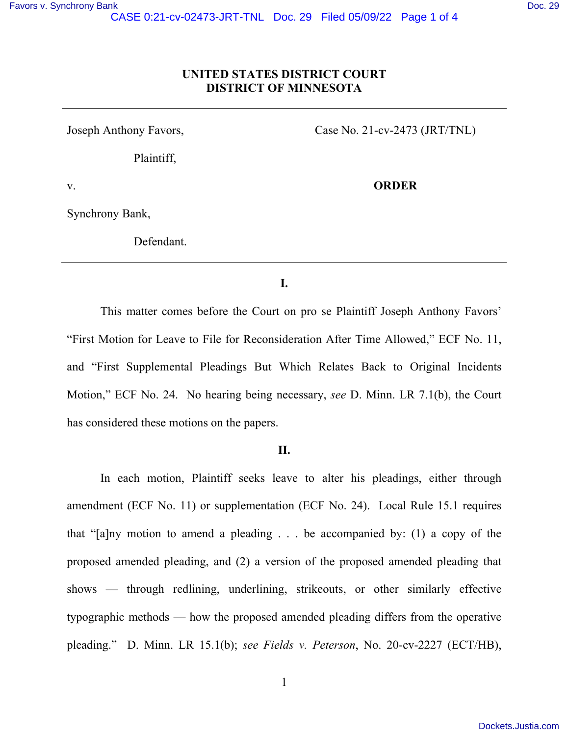## **UNITED STATES DISTRICT COURT DISTRICT OF MINNESOTA**

Joseph Anthony Favors,

Plaintiff,

Case No. 21-cv-2473 (JRT/TNL)

**ORDER** 

v.

Synchrony Bank,

Defendant.

### **I.**

This matter comes before the Court on pro se Plaintiff Joseph Anthony Favors' "First Motion for Leave to File for Reconsideration After Time Allowed," ECF No. 11, and "First Supplemental Pleadings But Which Relates Back to Original Incidents Motion," ECF No. 24. No hearing being necessary, *see* D. Minn. LR 7.1(b), the Court has considered these motions on the papers.

### **II.**

In each motion, Plaintiff seeks leave to alter his pleadings, either through amendment (ECF No. 11) or supplementation (ECF No. 24). Local Rule 15.1 requires that "[a]ny motion to amend a pleading  $\ldots$  be accompanied by: (1) a copy of the proposed amended pleading, and (2) a version of the proposed amended pleading that shows — through redlining, underlining, strikeouts, or other similarly effective typographic methods — how the proposed amended pleading differs from the operative pleading." D. Minn. LR 15.1(b); *see Fields v. Peterson*, No. 20-cv-2227 (ECT/HB),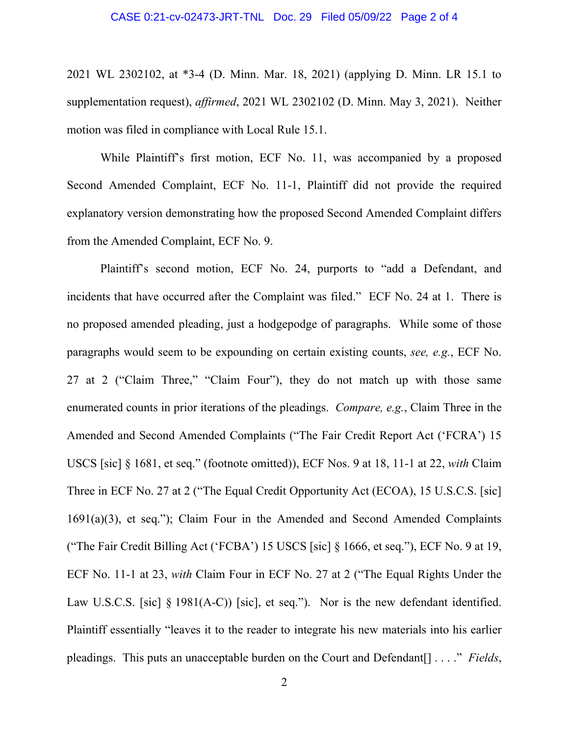2021 WL 2302102, at \*3-4 (D. Minn. Mar. 18, 2021) (applying D. Minn. LR 15.1 to supplementation request), *affirmed*, 2021 WL 2302102 (D. Minn. May 3, 2021). Neither motion was filed in compliance with Local Rule 15.1.

While Plaintiff's first motion, ECF No. 11, was accompanied by a proposed Second Amended Complaint, ECF No. 11-1, Plaintiff did not provide the required explanatory version demonstrating how the proposed Second Amended Complaint differs from the Amended Complaint, ECF No. 9.

Plaintiff's second motion, ECF No. 24, purports to "add a Defendant, and incidents that have occurred after the Complaint was filed." ECF No. 24 at 1. There is no proposed amended pleading, just a hodgepodge of paragraphs. While some of those paragraphs would seem to be expounding on certain existing counts, *see, e.g.*, ECF No. 27 at 2 ("Claim Three," "Claim Four"), they do not match up with those same enumerated counts in prior iterations of the pleadings. *Compare, e.g.*, Claim Three in the Amended and Second Amended Complaints ("The Fair Credit Report Act ('FCRA') 15 USCS [sic] § 1681, et seq." (footnote omitted)), ECF Nos. 9 at 18, 11-1 at 22, *with* Claim Three in ECF No. 27 at 2 ("The Equal Credit Opportunity Act (ECOA), 15 U.S.C.S. [sic] 1691(a)(3), et seq."); Claim Four in the Amended and Second Amended Complaints ("The Fair Credit Billing Act ('FCBA') 15 USCS [sic] § 1666, et seq."), ECF No. 9 at 19, ECF No. 11-1 at 23, *with* Claim Four in ECF No. 27 at 2 ("The Equal Rights Under the Law U.S.C.S. [sic] § 1981(A-C)) [sic], et seq."). Nor is the new defendant identified. Plaintiff essentially "leaves it to the reader to integrate his new materials into his earlier pleadings. This puts an unacceptable burden on the Court and Defendant[] . . . ." *Fields*,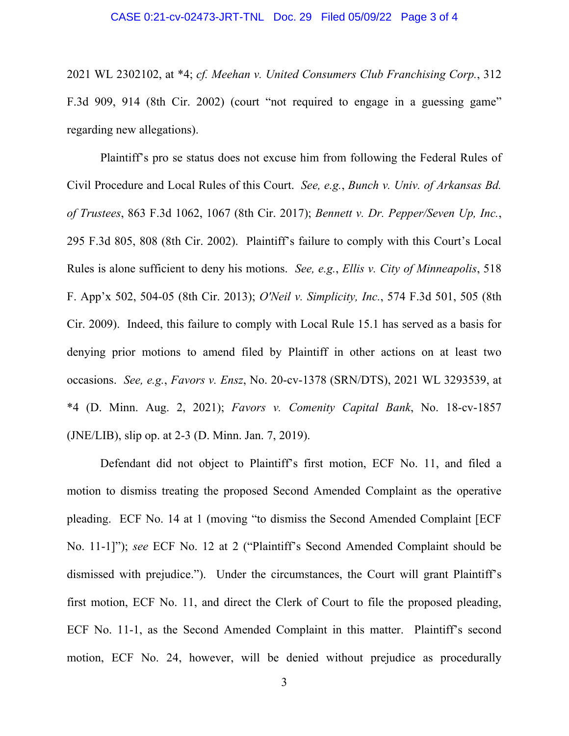#### CASE 0:21-cv-02473-JRT-TNL Doc. 29 Filed 05/09/22 Page 3 of 4

2021 WL 2302102, at \*4; *cf. Meehan v. United Consumers Club Franchising Corp.*, 312 F.3d 909, 914 (8th Cir. 2002) (court "not required to engage in a guessing game" regarding new allegations).

Plaintiff's pro se status does not excuse him from following the Federal Rules of Civil Procedure and Local Rules of this Court. *See, e.g.*, *Bunch v. Univ. of Arkansas Bd. of Trustees*, 863 F.3d 1062, 1067 (8th Cir. 2017); *Bennett v. Dr. Pepper/Seven Up, Inc.*, 295 F.3d 805, 808 (8th Cir. 2002). Plaintiff's failure to comply with this Court's Local Rules is alone sufficient to deny his motions. *See, e.g.*, *Ellis v. City of Minneapolis*, 518 F. App'x 502, 504-05 (8th Cir. 2013); *O'Neil v. Simplicity, Inc.*, 574 F.3d 501, 505 (8th Cir. 2009). Indeed, this failure to comply with Local Rule 15.1 has served as a basis for denying prior motions to amend filed by Plaintiff in other actions on at least two occasions. *See, e.g.*, *Favors v. Ensz*, No. 20-cv-1378 (SRN/DTS), 2021 WL 3293539, at \*4 (D. Minn. Aug. 2, 2021); *Favors v. Comenity Capital Bank*, No. 18-cv-1857 (JNE/LIB), slip op. at 2-3 (D. Minn. Jan. 7, 2019).

Defendant did not object to Plaintiff's first motion, ECF No. 11, and filed a motion to dismiss treating the proposed Second Amended Complaint as the operative pleading. ECF No. 14 at 1 (moving "to dismiss the Second Amended Complaint [ECF No. 11-1]"); *see* ECF No. 12 at 2 ("Plaintiff's Second Amended Complaint should be dismissed with prejudice."). Under the circumstances, the Court will grant Plaintiff's first motion, ECF No. 11, and direct the Clerk of Court to file the proposed pleading, ECF No. 11-1, as the Second Amended Complaint in this matter. Plaintiff's second motion, ECF No. 24, however, will be denied without prejudice as procedurally